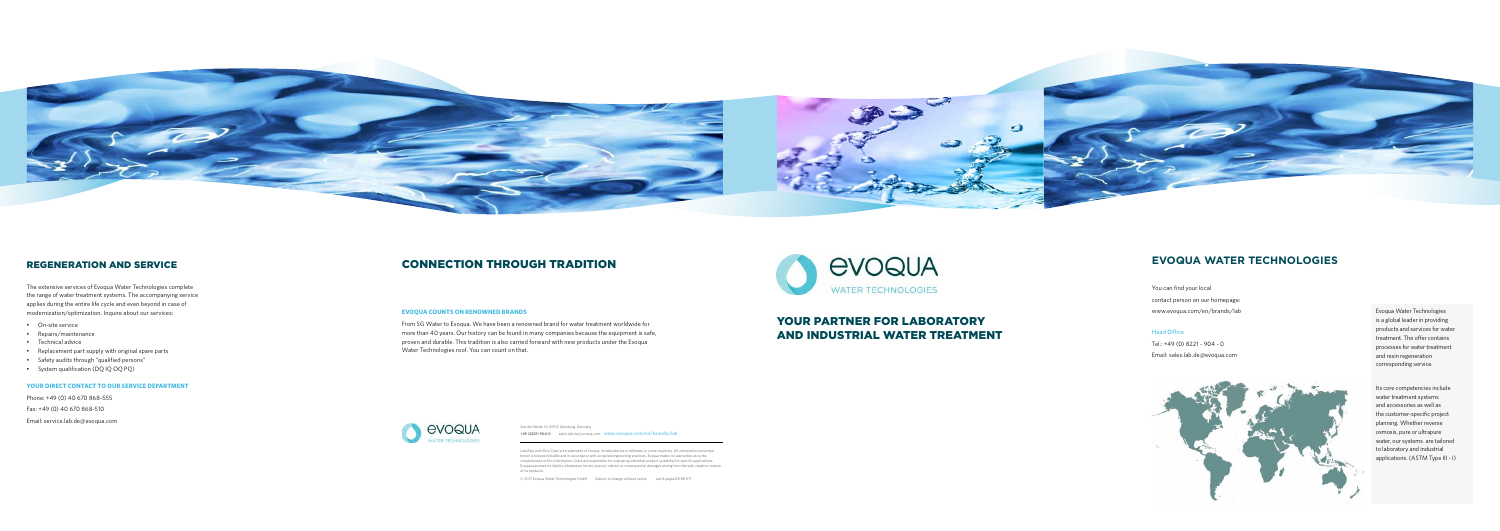# YOUR PARTNER FOR LABORATORY AND INDUSTRIAL WATER TREATMENT

## CONNECTION THROUGH TRADITION

### **EVOQUA COUNTS ON RENOWNED BRANDS**

From SG Water to Evoqua. We have been a renowned brand for water treatment worldwide for more than 40 years. Our history can be found in many companies because the equipment is safe, proven and durable. This tradition is also carried forward with new products under the Evoqua Water Technologies roof. You can count on that.





### REGENERATION AND SERVICE

The extensive services of Evoqua Water Technologies complete the range of water treatment systems. The accompanying service applies during the entire life cycle and even beyond in case of modernization/optimization. Inquire about our services:

- On-site service
- Repairs/maintenance
- Technical advice
- Replacement part supply with original spare parts
- Safety audits through "qualified persons"
- System qualification (DQ IQ OQ PQ)

### **YOUR DIRECT CONTACT TO OUR SERVICE DEPARTMENT**

Phone: +49 (0) 40 670 868-555 Fax: +49 (0) 40 670 868-510

Email: service.lab.de@evoqua.com

## **EVOQUA WATER TECHNOLOGIES**

You can find your local contact person on our homepage: www.evoqua.com/en/brands/lab

### Head Office

Tel.: +49 (0) 8221 - 904 - 0 Email: sales.lab.de@evoqua.com



Evoqua Water Technologies is a global leader in providing products and services for water treatment. The offer contains processes for water treatment and resin regeneration corresponding service.

Its core competencies include water treatment systems and accessories as well as the customer-specific project planning. Whether reverse osmosis, pure or ultrapure water, our systems are tailored to laboratory and industrial applications. (ASTM Type III - I)

Auf der Weide 10, 89312 Günzburg, Germany **+49 (8221) 904-0** sales.lab.de@evoqua.com **www.evoqua.com/en/brands/lab**

LaboStar and Ultra Clear are trademarks of Evoqua, its subsidiaries or affiliates, in some countries. All information presented herein is believed reliable and in accordance with accepted engineering practices. Evoqua makes no warranties as to the completeness of this information. Users are responsible for evaluating individual product suitability for specific applications. Evoqua assumes no liability whatsoever for any special, indirect or consequential damages arising from the sale, resale or misuse of its products.

© 2017 Evoqua Water Technologies GmbH Subject to change without notice. Lab 8 pages.DE.BR.1117